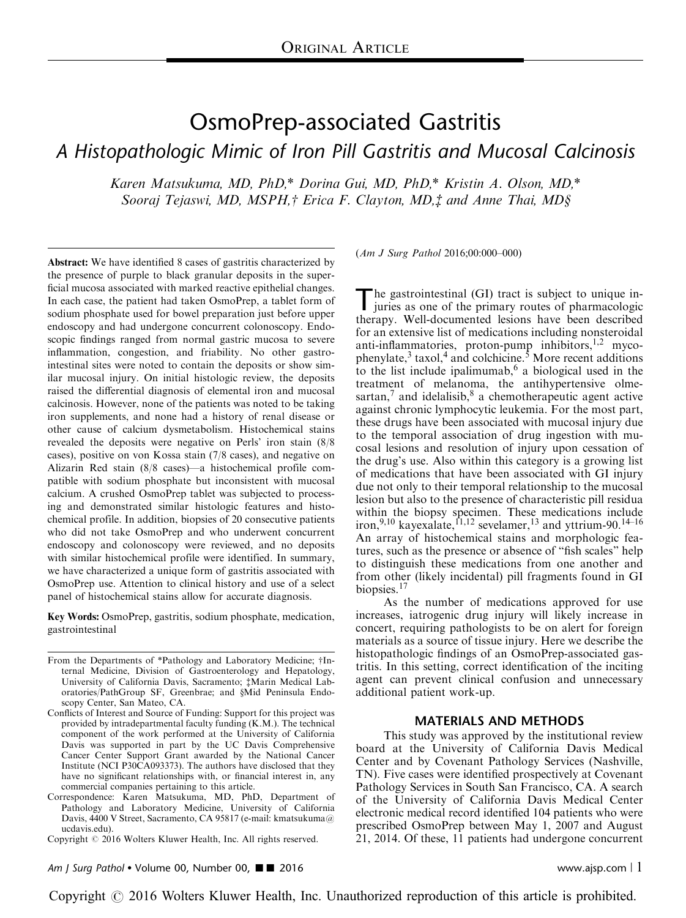# OsmoPrep-associated Gastritis A Histopathologic Mimic of Iron Pill Gastritis and Mucosal Calcinosis

Karen Matsukuma, MD, PhD,\* Dorina Gui, MD, PhD,\* Kristin A. Olson, MD,\* Sooraj Tejaswi, MD, MSPH,† Erica F. Clayton, MD,‡ and Anne Thai, MD§

Abstract: We have identified 8 cases of gastritis characterized by the presence of purple to black granular deposits in the superficial mucosa associated with marked reactive epithelial changes. In each case, the patient had taken OsmoPrep, a tablet form of sodium phosphate used for bowel preparation just before upper endoscopy and had undergone concurrent colonoscopy. Endoscopic findings ranged from normal gastric mucosa to severe inflammation, congestion, and friability. No other gastrointestinal sites were noted to contain the deposits or show similar mucosal injury. On initial histologic review, the deposits raised the differential diagnosis of elemental iron and mucosal calcinosis. However, none of the patients was noted to be taking iron supplements, and none had a history of renal disease or other cause of calcium dysmetabolism. Histochemical stains revealed the deposits were negative on Perls' iron stain (8/8 cases), positive on von Kossa stain (7/8 cases), and negative on Alizarin Red stain (8/8 cases)—a histochemical profile compatible with sodium phosphate but inconsistent with mucosal calcium. A crushed OsmoPrep tablet was subjected to processing and demonstrated similar histologic features and histochemical profile. In addition, biopsies of 20 consecutive patients who did not take OsmoPrep and who underwent concurrent endoscopy and colonoscopy were reviewed, and no deposits with similar histochemical profile were identified. In summary, we have characterized a unique form of gastritis associated with OsmoPrep use. Attention to clinical history and use of a select panel of histochemical stains allow for accurate diagnosis.

Key Words: OsmoPrep, gastritis, sodium phosphate, medication, gastrointestinal

Correspondence: Karen Matsukuma, MD, PhD, Department of Pathology and Laboratory Medicine, University of California Davis, 4400 V Street, Sacramento, CA 95817 (e-mail: [kmatsukuma@](mailto:kmatsukuma@ucdavis.edu) [ucdavis.edu](mailto:kmatsukuma@ucdavis.edu)).

Copyright © 2016 Wolters Kluwer Health, Inc. All rights reserved.

Am J Surg Pathol • Volume 00, Number 00,  $\blacksquare$  2016 www.ajsp.com | 1

(Am J Surg Pathol 2016;00:000–000)

The gastrointestinal (GI) tract is subject to unique injuries as one of the primary routes of pharmacologic therapy. Well-documented lesions have been described for an extensive list of medications including nonsteroidal anti-inflammatories, proton-pump inhibitors, $1,2$  mycophenylate, $3 \text{ taxol}, 4$  $3 \text{ taxol}, 4$  and colchicine.<sup>[5](#page-6-0)</sup> More recent additions to the list include ipalimumab, $6$  a biological used in the treatment of melanoma, the antihypertensive olmesartan, $\frac{7}{7}$  $\frac{7}{7}$  $\frac{7}{7}$  and idelalisib, $\frac{8}{7}$  $\frac{8}{7}$  $\frac{8}{7}$  a chemotherapeutic agent active against chronic lymphocytic leukemia. For the most part, these drugs have been associated with mucosal injury due to the temporal association of drug ingestion with mucosal lesions and resolution of injury upon cessation of the drug's use. Also within this category is a growing list of medications that have been associated with GI injury due not only to their temporal relationship to the mucosal lesion but also to the presence of characteristic pill residua within the biopsy specimen. These medications include iron,<sup>[9,10](#page-6-0)</sup> kayexalate,  $11,12$  sevelamer,  $13$  and yttrium-90.  $14-16$ An array of histochemical stains and morphologic features, such as the presence or absence of "fish scales" help to distinguish these medications from one another and from other (likely incidental) pill fragments found in GI biopsies.<sup>[17](#page-6-0)</sup>

As the number of medications approved for use increases, iatrogenic drug injury will likely increase in concert, requiring pathologists to be on alert for foreign materials as a source of tissue injury. Here we describe the histopathologic findings of an OsmoPrep-associated gastritis. In this setting, correct identification of the inciting agent can prevent clinical confusion and unnecessary additional patient work-up.

# MATERIALS AND METHODS

This study was approved by the institutional review board at the University of California Davis Medical Center and by Covenant Pathology Services (Nashville, TN). Five cases were identified prospectively at Covenant Pathology Services in South San Francisco, CA. A search of the University of California Davis Medical Center electronic medical record identified 104 patients who were prescribed OsmoPrep between May 1, 2007 and August 21, 2014. Of these, 11 patients had undergone concurrent

From the Departments of \*Pathology and Laboratory Medicine; †Internal Medicine, Division of Gastroenterology and Hepatology, University of California Davis, Sacramento; ‡Marin Medical Laboratories/PathGroup SF, Greenbrae; and §Mid Peninsula Endoscopy Center, San Mateo, CA.

Conflicts of Interest and Source of Funding: Support for this project was provided by intradepartmental faculty funding (K.M.). The technical component of the work performed at the University of California Davis was supported in part by the UC Davis Comprehensive Cancer Center Support Grant awarded by the National Cancer Institute (NCI P30CA093373). The authors have disclosed that they have no significant relationships with, or financial interest in, any commercial companies pertaining to this article.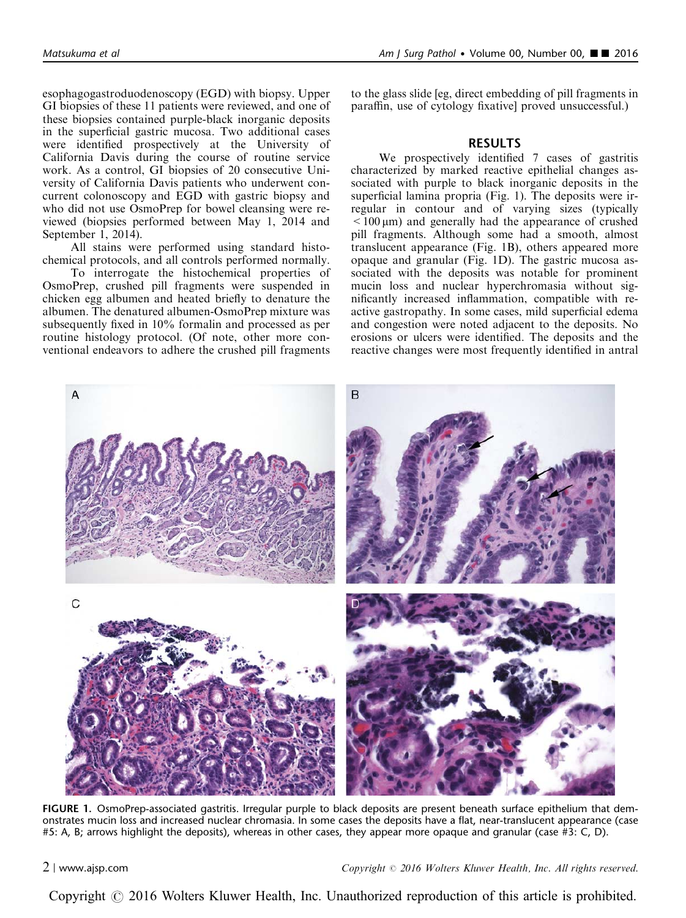esophagogastroduodenoscopy (EGD) with biopsy. Upper GI biopsies of these 11 patients were reviewed, and one of these biopsies contained purple-black inorganic deposits in the superficial gastric mucosa. Two additional cases were identified prospectively at the University of California Davis during the course of routine service work. As a control, GI biopsies of 20 consecutive University of California Davis patients who underwent concurrent colonoscopy and EGD with gastric biopsy and who did not use OsmoPrep for bowel cleansing were reviewed (biopsies performed between May 1, 2014 and September 1, 2014).

All stains were performed using standard histochemical protocols, and all controls performed normally.

To interrogate the histochemical properties of OsmoPrep, crushed pill fragments were suspended in chicken egg albumen and heated briefly to denature the albumen. The denatured albumen-OsmoPrep mixture was subsequently fixed in 10% formalin and processed as per routine histology protocol. (Of note, other more conventional endeavors to adhere the crushed pill fragments

to the glass slide [eg, direct embedding of pill fragments in paraffin, use of cytology fixative] proved unsuccessful.)

### RESULTS

We prospectively identified 7 cases of gastritis characterized by marked reactive epithelial changes associated with purple to black inorganic deposits in the superficial lamina propria (Fig. 1). The deposits were irregular in contour and of varying sizes (typically  $<$  100  $\mu$ m) and generally had the appearance of crushed pill fragments. Although some had a smooth, almost translucent appearance (Fig. 1B), others appeared more opaque and granular (Fig. 1D). The gastric mucosa associated with the deposits was notable for prominent mucin loss and nuclear hyperchromasia without significantly increased inflammation, compatible with reactive gastropathy. In some cases, mild superficial edema and congestion were noted adjacent to the deposits. No erosions or ulcers were identified. The deposits and the reactive changes were most frequently identified in antral



FIGURE 1. OsmoPrep-associated gastritis. Irregular purple to black deposits are present beneath surface epithelium that demonstrates mucin loss and increased nuclear chromasia. In some cases the deposits have a flat, near-translucent appearance (case #5: A, B; arrows highlight the deposits), whereas in other cases, they appear more opaque and granular (case #3: C, D).

2 <sup>|</sup> www.ajsp.com Copyright <sup>r</sup> 2016 Wolters Kluwer Health, Inc. All rights reserved.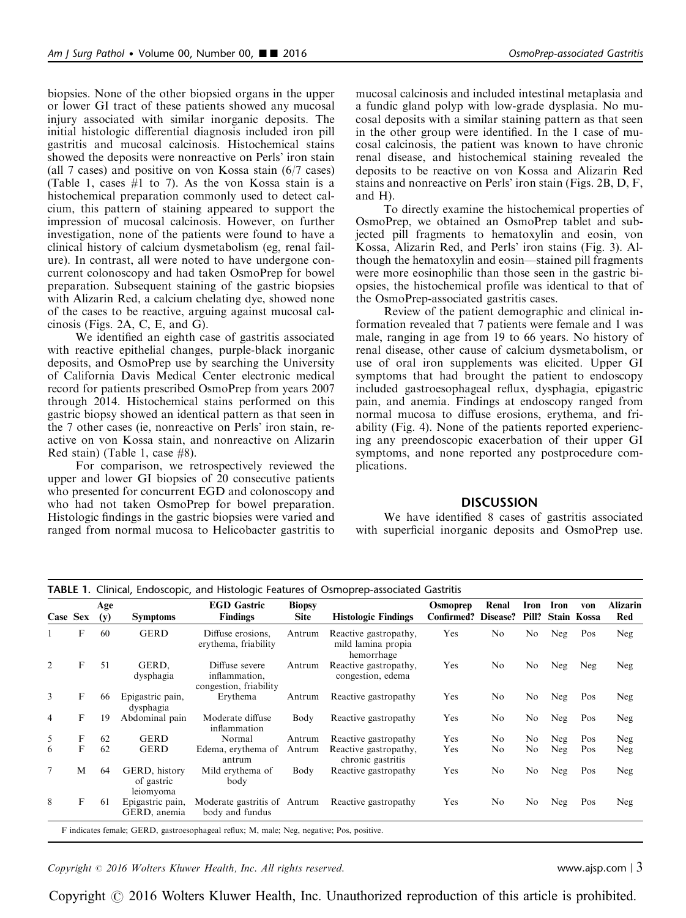biopsies. None of the other biopsied organs in the upper or lower GI tract of these patients showed any mucosal injury associated with similar inorganic deposits. The initial histologic differential diagnosis included iron pill gastritis and mucosal calcinosis. Histochemical stains showed the deposits were nonreactive on Perls' iron stain (all 7 cases) and positive on von Kossa stain (6/7 cases) (Table 1, cases #1 to 7). As the von Kossa stain is a histochemical preparation commonly used to detect calcium, this pattern of staining appeared to support the impression of mucosal calcinosis. However, on further investigation, none of the patients were found to have a clinical history of calcium dysmetabolism (eg, renal failure). In contrast, all were noted to have undergone concurrent colonoscopy and had taken OsmoPrep for bowel preparation. Subsequent staining of the gastric biopsies with Alizarin Red, a calcium chelating dye, showed none of the cases to be reactive, arguing against mucosal calcinosis ([Figs. 2A, C, E, and G\)](#page-3-0).

We identified an eighth case of gastritis associated with reactive epithelial changes, purple-black inorganic deposits, and OsmoPrep use by searching the University of California Davis Medical Center electronic medical record for patients prescribed OsmoPrep from years 2007 through 2014. Histochemical stains performed on this gastric biopsy showed an identical pattern as that seen in the 7 other cases (ie, nonreactive on Perls' iron stain, reactive on von Kossa stain, and nonreactive on Alizarin Red stain) (Table 1, case #8).

For comparison, we retrospectively reviewed the upper and lower GI biopsies of 20 consecutive patients who presented for concurrent EGD and colonoscopy and who had not taken OsmoPrep for bowel preparation. Histologic findings in the gastric biopsies were varied and ranged from normal mucosa to Helicobacter gastritis to

mucosal calcinosis and included intestinal metaplasia and a fundic gland polyp with low-grade dysplasia. No mucosal deposits with a similar staining pattern as that seen in the other group were identified. In the 1 case of mucosal calcinosis, the patient was known to have chronic renal disease, and histochemical staining revealed the deposits to be reactive on von Kossa and Alizarin Red stains and nonreactive on Perls' iron stain ([Figs. 2B, D, F,](#page-3-0) [and H](#page-3-0)).

To directly examine the histochemical properties of OsmoPrep, we obtained an OsmoPrep tablet and subjected pill fragments to hematoxylin and eosin, von Kossa, Alizarin Red, and Perls' iron stains [\(Fig. 3\)](#page-4-0). Although the hematoxylin and eosin––stained pill fragments were more eosinophilic than those seen in the gastric biopsies, the histochemical profile was identical to that of the OsmoPrep-associated gastritis cases.

Review of the patient demographic and clinical information revealed that 7 patients were female and 1 was male, ranging in age from 19 to 66 years. No history of renal disease, other cause of calcium dysmetabolism, or use of oral iron supplements was elicited. Upper GI symptoms that had brought the patient to endoscopy included gastroesophageal reflux, dysphagia, epigastric pain, and anemia. Findings at endoscopy ranged from normal mucosa to diffuse erosions, erythema, and friability [\(Fig. 4\)](#page-5-0). None of the patients reported experiencing any preendoscopic exacerbation of their upper GI symptoms, and none reported any postprocedure complications.

# **DISCUSSION**

We have identified 8 cases of gastritis associated with superficial inorganic deposits and OsmoPrep use.

| Case Sex       |              | Age<br>(y) | <b>Symptoms</b>                          | <b>EGD</b> Gastric<br><b>Findings</b>                     | <b>Biopsy</b><br><b>Site</b> | <b>Histologic Findings</b>                                | Osmoprep<br><b>Confirmed? Disease?</b> | Renal | Iron<br>Pill? | Iron | von<br>Stain Kossa | <b>Alizarin</b><br>Red |
|----------------|--------------|------------|------------------------------------------|-----------------------------------------------------------|------------------------------|-----------------------------------------------------------|----------------------------------------|-------|---------------|------|--------------------|------------------------|
|                | F            | 60         | <b>GERD</b>                              | Diffuse erosions,<br>erythema, friability                 | Antrum                       | Reactive gastropathy,<br>mild lamina propia<br>hemorrhage | Yes                                    | No    | No            | Neg  | Pos                | Neg                    |
| 2              | $\mathbf{F}$ | 51         | GERD.<br>dysphagia                       | Diffuse severe<br>inflammation,<br>congestion, friability | Antrum                       | Reactive gastropathy,<br>congestion, edema                | Yes                                    | No    | No            | Neg  | Neg                | Neg                    |
| 3              | F            | 66         | Epigastric pain,<br>dysphagia            | Erythema                                                  | Antrum                       | Reactive gastropathy                                      | Yes                                    | No    | No            | Neg  | Pos                | Neg                    |
| $\overline{4}$ | F            | 19         | Abdominal pain                           | Moderate diffuse<br>inflammation                          | Body                         | Reactive gastropathy                                      | Yes                                    | No    | No            | Neg  | Pos                | Neg                    |
| 5              | F            | 62         | <b>GERD</b>                              | Normal                                                    | Antrum                       | Reactive gastropathy                                      | Yes                                    | No.   | No            | Neg  | Pos                | Neg                    |
| 6              | F            | 62         | <b>GERD</b>                              | Edema, erythema of<br>antrum                              | Antrum                       | Reactive gastropathy,<br>chronic gastritis                | Yes                                    | No    | No            | Neg  | Pos                | Neg                    |
| $\tau$         | M            | 64         | GERD, history<br>of gastric<br>leiomyoma | Mild erythema of<br>body                                  | Body                         | Reactive gastropathy                                      | Yes                                    | No    | No            | Neg  | Pos                | Neg                    |
| 8              | F            | 61         | Epigastric pain,<br>GERD, anemia         | Moderate gastritis of Antrum<br>body and fundus           |                              | Reactive gastropathy                                      | Yes                                    | No    | No            | Neg  | Pos                | Neg                    |

troesophageal reflux; M, male; Neg, negative; Po

 $Copyright © 2016 Wolters Kluwer Health, Inc. All rights reserved.$  exerved. www.ajsp.com | 3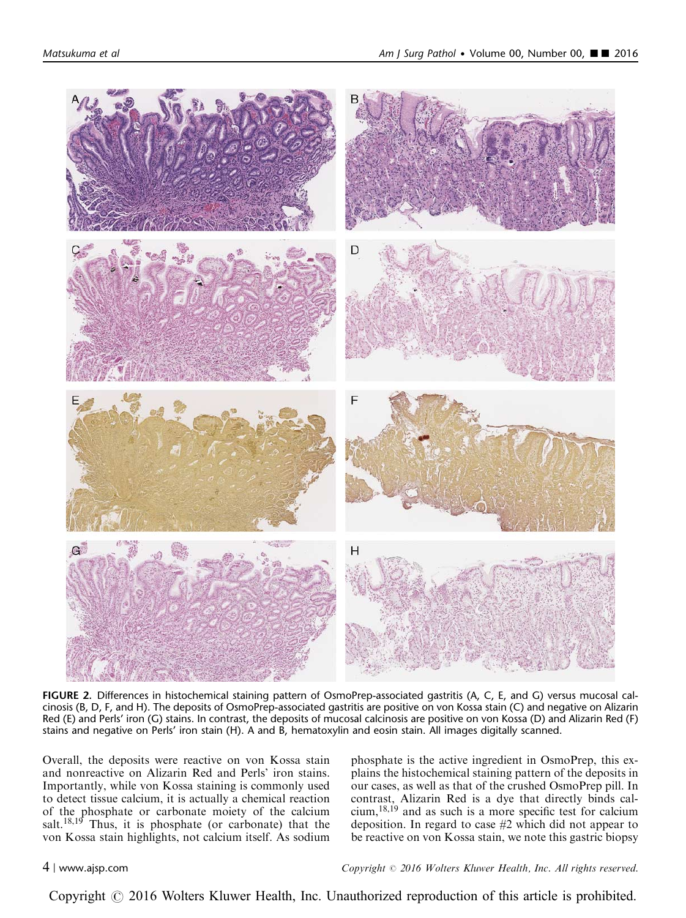<span id="page-3-0"></span>

FIGURE 2. Differences in histochemical staining pattern of OsmoPrep-associated gastritis (A, C, E, and G) versus mucosal calcinosis (B, D, F, and H). The deposits of OsmoPrep-associated gastritis are positive on von Kossa stain (C) and negative on Alizarin Red (E) and Perls' iron (G) stains. In contrast, the deposits of mucosal calcinosis are positive on von Kossa (D) and Alizarin Red (F) stains and negative on Perls' iron stain (H). A and B, hematoxylin and eosin stain. All images digitally scanned.

Overall, the deposits were reactive on von Kossa stain and nonreactive on Alizarin Red and Perls' iron stains. Importantly, while von Kossa staining is commonly used to detect tissue calcium, it is actually a chemical reaction of the phosphate or carbonate moiety of the calcium salt.<sup>[18,19](#page-6-0)</sup> Thus, it is phosphate (or carbonate) that the von Kossa stain highlights, not calcium itself. As sodium phosphate is the active ingredient in OsmoPrep, this explains the histochemical staining pattern of the deposits in our cases, as well as that of the crushed OsmoPrep pill. In contrast, Alizarin Red is a dye that directly binds calcium,[18,19](#page-6-0) and as such is a more specific test for calcium deposition. In regard to case #2 which did not appear to be reactive on von Kossa stain, we note this gastric biopsy

4 <sup>|</sup> www.ajsp.com Copyright <sup>r</sup> 2016 Wolters Kluwer Health, Inc. All rights reserved.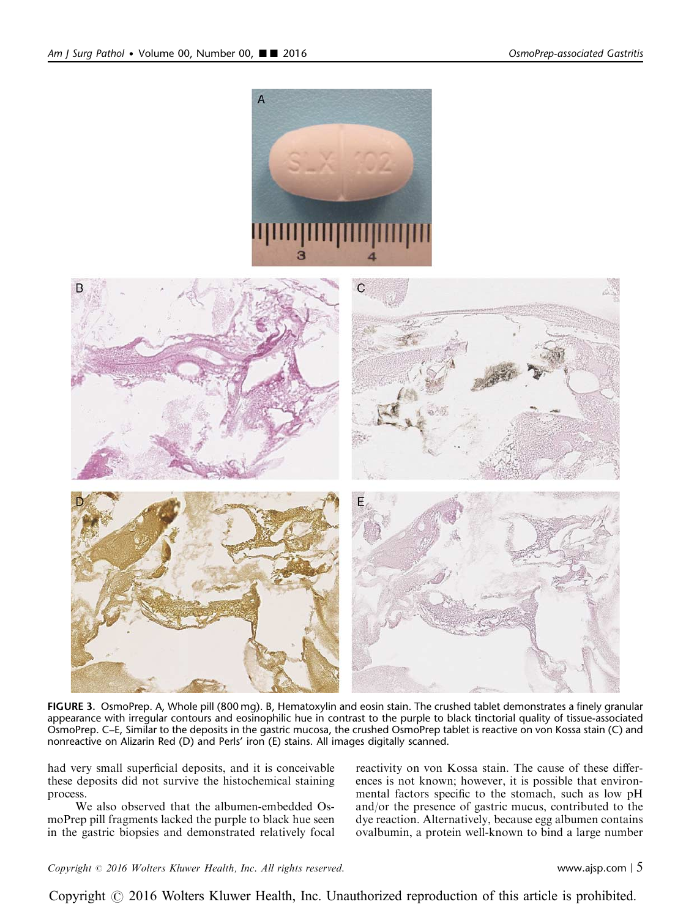<span id="page-4-0"></span>

FIGURE 3. OsmoPrep. A, Whole pill (800 mg). B, Hematoxylin and eosin stain. The crushed tablet demonstrates a finely granular appearance with irregular contours and eosinophilic hue in contrast to the purple to black tinctorial quality of tissue-associated OsmoPrep. C–E, Similar to the deposits in the gastric mucosa, the crushed OsmoPrep tablet is reactive on von Kossa stain (C) and nonreactive on Alizarin Red (D) and Perls' iron (E) stains. All images digitally scanned.

had very small superficial deposits, and it is conceivable these deposits did not survive the histochemical staining process.

We also observed that the albumen-embedded OsmoPrep pill fragments lacked the purple to black hue seen in the gastric biopsies and demonstrated relatively focal reactivity on von Kossa stain. The cause of these differences is not known; however, it is possible that environmental factors specific to the stomach, such as low pH and/or the presence of gastric mucus, contributed to the dye reaction. Alternatively, because egg albumen contains ovalbumin, a protein well-known to bind a large number

 $Copyright © 2016 Wolters Kluwer Health, Inc. All rights reserved.$  www.ajsp.com | 5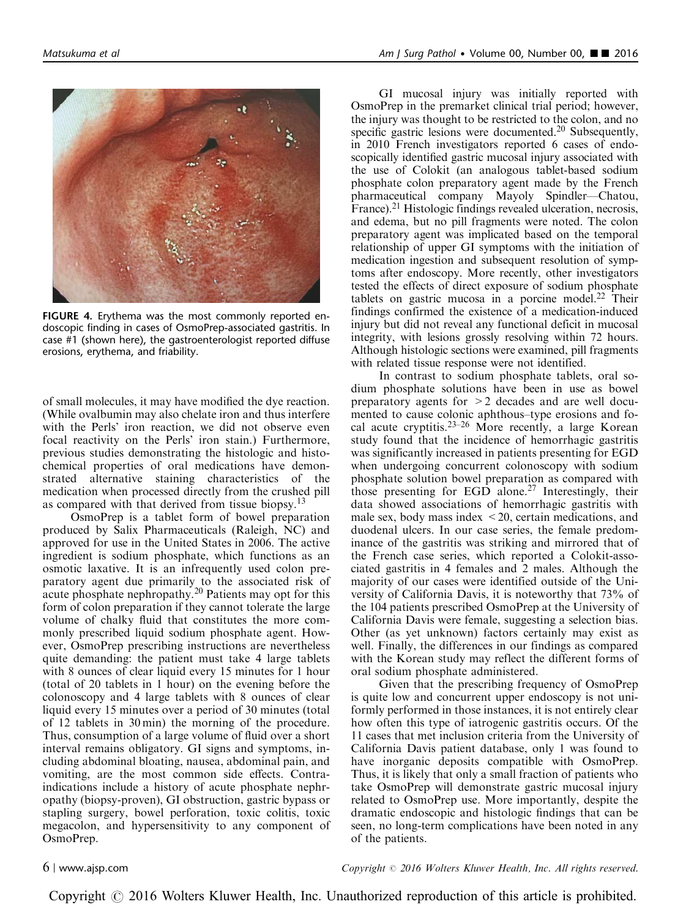<span id="page-5-0"></span>

FIGURE 4. Erythema was the most commonly reported endoscopic finding in cases of OsmoPrep-associated gastritis. In case #1 (shown here), the gastroenterologist reported diffuse erosions, erythema, and friability.

of small molecules, it may have modified the dye reaction. (While ovalbumin may also chelate iron and thus interfere with the Perls' iron reaction, we did not observe even focal reactivity on the Perls' iron stain.) Furthermore, previous studies demonstrating the histologic and histochemical properties of oral medications have demonstrated alternative staining characteristics of the medication when processed directly from the crushed pill as compared with that derived from tissue biopsy.<sup>[13](#page-6-0)</sup>

OsmoPrep is a tablet form of bowel preparation produced by Salix Pharmaceuticals (Raleigh, NC) and approved for use in the United States in 2006. The active ingredient is sodium phosphate, which functions as an osmotic laxative. It is an infrequently used colon preparatory agent due primarily to the associated risk of acute phosphate nephropathy.[20](#page-6-0) Patients may opt for this form of colon preparation if they cannot tolerate the large volume of chalky fluid that constitutes the more commonly prescribed liquid sodium phosphate agent. However, OsmoPrep prescribing instructions are nevertheless quite demanding: the patient must take 4 large tablets with 8 ounces of clear liquid every 15 minutes for 1 hour (total of 20 tablets in 1 hour) on the evening before the colonoscopy and 4 large tablets with 8 ounces of clear liquid every 15 minutes over a period of 30 minutes (total of 12 tablets in 30 min) the morning of the procedure. Thus, consumption of a large volume of fluid over a short interval remains obligatory. GI signs and symptoms, including abdominal bloating, nausea, abdominal pain, and vomiting, are the most common side effects. Contraindications include a history of acute phosphate nephropathy (biopsy-proven), GI obstruction, gastric bypass or stapling surgery, bowel perforation, toxic colitis, toxic megacolon, and hypersensitivity to any component of OsmoPrep.

GI mucosal injury was initially reported with OsmoPrep in the premarket clinical trial period; however, the injury was thought to be restricted to the colon, and no specific gastric lesions were documented.<sup>[20](#page-6-0)</sup> Subsequently, in 2010 French investigators reported 6 cases of endoscopically identified gastric mucosal injury associated with the use of Colokit (an analogous tablet-based sodium phosphate colon preparatory agent made by the French pharmaceutical company Mayoly Spindler—Chatou, France).<sup>21</sup> Histologic findings revealed ulceration, necrosis, and edema, but no pill fragments were noted. The colon preparatory agent was implicated based on the temporal relationship of upper GI symptoms with the initiation of medication ingestion and subsequent resolution of symptoms after endoscopy. More recently, other investigators tested the effects of direct exposure of sodium phosphate tablets on gastric mucosa in a porcine model. $22$  Their findings confirmed the existence of a medication-induced injury but did not reveal any functional deficit in mucosal integrity, with lesions grossly resolving within 72 hours. Although histologic sections were examined, pill fragments with related tissue response were not identified.

In contrast to sodium phosphate tablets, oral sodium phosphate solutions have been in use as bowel preparatory agents for >2 decades and are well documented to cause colonic aphthous–type erosions and focal acute cryptitis.[23–26](#page-6-0) More recently, a large Korean study found that the incidence of hemorrhagic gastritis was significantly increased in patients presenting for EGD when undergoing concurrent colonoscopy with sodium phosphate solution bowel preparation as compared with those presenting for EGD alone.<sup>[27](#page-6-0)</sup> Interestingly, their data showed associations of hemorrhagic gastritis with male sex, body mass index  $\leq$  20, certain medications, and duodenal ulcers. In our case series, the female predominance of the gastritis was striking and mirrored that of the French case series, which reported a Colokit-associated gastritis in 4 females and 2 males. Although the majority of our cases were identified outside of the University of California Davis, it is noteworthy that 73% of the 104 patients prescribed OsmoPrep at the University of California Davis were female, suggesting a selection bias. Other (as yet unknown) factors certainly may exist as well. Finally, the differences in our findings as compared with the Korean study may reflect the different forms of oral sodium phosphate administered.

Given that the prescribing frequency of OsmoPrep is quite low and concurrent upper endoscopy is not uniformly performed in those instances, it is not entirely clear how often this type of iatrogenic gastritis occurs. Of the 11 cases that met inclusion criteria from the University of California Davis patient database, only 1 was found to have inorganic deposits compatible with OsmoPrep. Thus, it is likely that only a small fraction of patients who take OsmoPrep will demonstrate gastric mucosal injury related to OsmoPrep use. More importantly, despite the dramatic endoscopic and histologic findings that can be seen, no long-term complications have been noted in any of the patients.

6 <sup>|</sup> www.ajsp.com Copyright <sup>r</sup> 2016 Wolters Kluwer Health, Inc. All rights reserved.